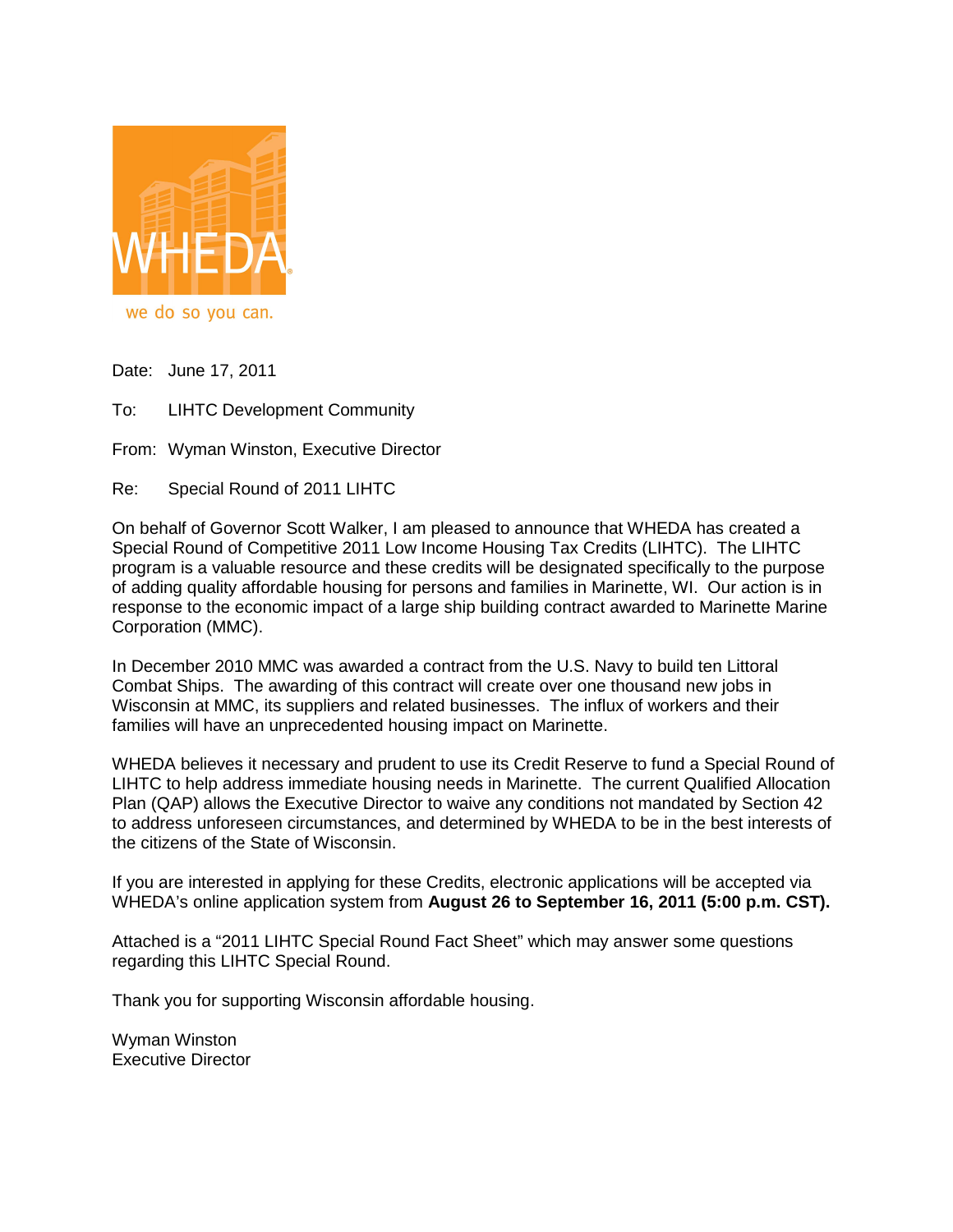

we do so you can.

Date: June 17, 2011

To: LIHTC Development Community

From: Wyman Winston, Executive Director

Re: Special Round of 2011 LIHTC

On behalf of Governor Scott Walker, I am pleased to announce that WHEDA has created a Special Round of Competitive 2011 Low Income Housing Tax Credits (LIHTC). The LIHTC program is a valuable resource and these credits will be designated specifically to the purpose of adding quality affordable housing for persons and families in Marinette, WI. Our action is in response to the economic impact of a large ship building contract awarded to Marinette Marine Corporation (MMC).

In December 2010 MMC was awarded a contract from the U.S. Navy to build ten Littoral Combat Ships. The awarding of this contract will create over one thousand new jobs in Wisconsin at MMC, its suppliers and related businesses. The influx of workers and their families will have an unprecedented housing impact on Marinette.

WHEDA believes it necessary and prudent to use its Credit Reserve to fund a Special Round of LIHTC to help address immediate housing needs in Marinette. The current Qualified Allocation Plan (QAP) allows the Executive Director to waive any conditions not mandated by Section 42 to address unforeseen circumstances, and determined by WHEDA to be in the best interests of the citizens of the State of Wisconsin.

If you are interested in applying for these Credits, electronic applications will be accepted via WHEDA's online application system from **August 26 to September 16, 2011 (5:00 p.m. CST).**

Attached is a "2011 LIHTC Special Round Fact Sheet" which may answer some questions regarding this LIHTC Special Round.

Thank you for supporting Wisconsin affordable housing.

Wyman Winston Executive Director